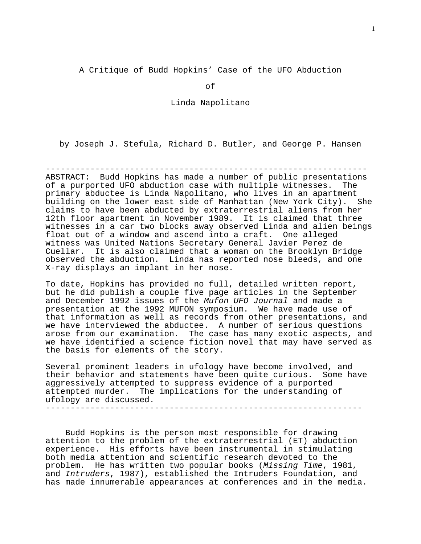A Critique of Budd Hopkins' Case of the UFO Abduction

of

Linda Napolitano

by Joseph J. Stefula, Richard D. Butler, and George P. Hansen

----------------------------------------------------------------- ABSTRACT: Budd Hopkins has made a number of public presentations of a purported UFO abduction case with multiple witnesses. The primary abductee is Linda Napolitano, who lives in an apartment building on the lower east side of Manhattan (New York City). She claims to have been abducted by extraterrestrial aliens from her 12th floor apartment in November 1989. It is claimed that three witnesses in a car two blocks away observed Linda and alien beings float out of a window and ascend into a craft. One alleged witness was United Nations Secretary General Javier Perez de Cuellar. It is also claimed that a woman on the Brooklyn Bridge observed the abduction. Linda has reported nose bleeds, and one X-ray displays an implant in her nose.

To date, Hopkins has provided no full, detailed written report, but he did publish a couple five page articles in the September and December 1992 issues of the Mufon UFO Journal and made a presentation at the 1992 MUFON symposium. We have made use of that information as well as records from other presentations, and we have interviewed the abductee. A number of serious questions arose from our examination. The case has many exotic aspects, and we have identified a science fiction novel that may have served as the basis for elements of the story.

Several prominent leaders in ufology have become involved, and their behavior and statements have been quite curious. Some have aggressively attempted to suppress evidence of a purported attempted murder. The implications for the understanding of ufology are discussed.

----------------------------------------------------------------

 Budd Hopkins is the person most responsible for drawing attention to the problem of the extraterrestrial (ET) abduction experience. His efforts have been instrumental in stimulating both media attention and scientific research devoted to the problem. He has written two popular books (Missing Time, 1981, and Intruders, 1987), established the Intruders Foundation, and has made innumerable appearances at conferences and in the media.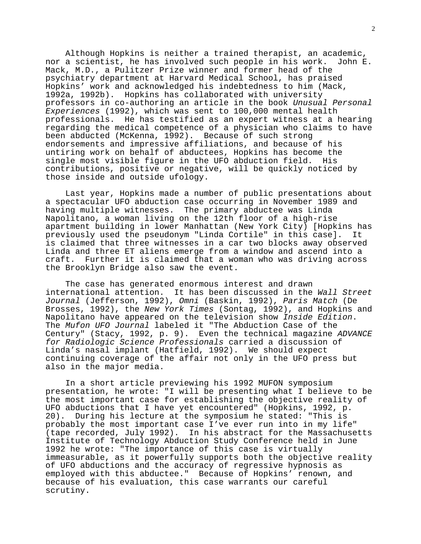Although Hopkins is neither a trained therapist, an academic, nor a scientist, he has involved such people in his work. John E. Mack, M.D., a Pulitzer Prize winner and former head of the psychiatry department at Harvard Medical School, has praised Hopkins' work and acknowledged his indebtedness to him (Mack, 1992a, 1992b). Hopkins has collaborated with university professors in co-authoring an article in the book Unusual Personal Experiences (1992), which was sent to 100,000 mental health professionals. He has testified as an expert witness at a hearing regarding the medical competence of a physician who claims to have been abducted (McKenna, 1992). Because of such strong endorsements and impressive affiliations, and because of his untiring work on behalf of abductees, Hopkins has become the single most visible figure in the UFO abduction field. His contributions, positive or negative, will be quickly noticed by those inside and outside ufology.

 Last year, Hopkins made a number of public presentations about a spectacular UFO abduction case occurring in November 1989 and having multiple witnesses. The primary abductee was Linda Napolitano, a woman living on the 12th floor of a high-rise apartment building in lower Manhattan (New York City) [Hopkins has previously used the pseudonym "Linda Cortile" in this case]. It is claimed that three witnesses in a car two blocks away observed Linda and three ET aliens emerge from a window and ascend into a craft. Further it is claimed that a woman who was driving across the Brooklyn Bridge also saw the event.

 The case has generated enormous interest and drawn international attention. It has been discussed in the Wall Street Journal (Jefferson, 1992), Omni (Baskin, 1992), Paris Match (De Brosses, 1992), the New York Times (Sontag, 1992), and Hopkins and Napolitano have appeared on the television show Inside Edition. The Mufon UFO Journal labeled it "The Abduction Case of the Century" (Stacy, 1992, p. 9). Even the technical magazine ADVANCE for Radiologic Science Professionals carried a discussion of Linda's nasal implant (Hatfield, 1992). We should expect continuing coverage of the affair not only in the UFO press but also in the major media.

 In a short article previewing his 1992 MUFON symposium presentation, he wrote: "I will be presenting what I believe to be the most important case for establishing the objective reality of UFO abductions that I have yet encountered" (Hopkins, 1992, p. 20). During his lecture at the symposium he stated: "This is probably the most important case I've ever run into in my life" (tape recorded, July 1992). In his abstract for the Massachusetts Institute of Technology Abduction Study Conference held in June 1992 he wrote: "The importance of this case is virtually immeasurable, as it powerfully supports both the objective reality of UFO abductions and the accuracy of regressive hypnosis as employed with this abductee." Because of Hopkins' renown, and because of his evaluation, this case warrants our careful scrutiny.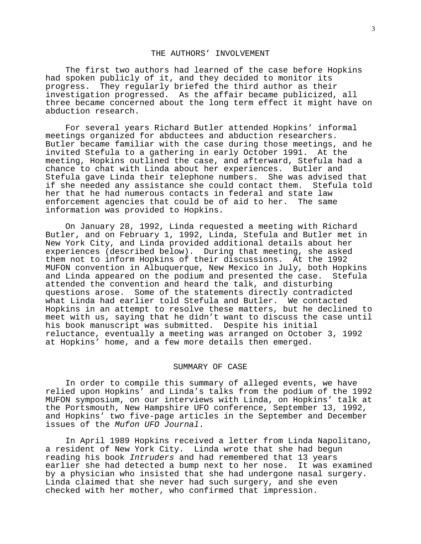### THE AUTHORS' INVOLVEMENT

 The first two authors had learned of the case before Hopkins had spoken publicly of it, and they decided to monitor its progress. They regularly briefed the third author as their investigation progressed. As the affair became publicized, all three became concerned about the long term effect it might have on abduction research.

 For several years Richard Butler attended Hopkins' informal meetings organized for abductees and abduction researchers. Butler became familiar with the case during those meetings, and he invited Stefula to a gathering in early October 1991. At the meeting, Hopkins outlined the case, and afterward, Stefula had a chance to chat with Linda about her experiences. Butler and Stefula gave Linda their telephone numbers. She was advised that if she needed any assistance she could contact them. Stefula told her that he had numerous contacts in federal and state law enforcement agencies that could be of aid to her. The same information was provided to Hopkins.

 On January 28, 1992, Linda requested a meeting with Richard Butler, and on February 1, 1992, Linda, Stefula and Butler met in New York City, and Linda provided additional details about her experiences (described below). During that meeting, she asked them not to inform Hopkins of their discussions. At the 1992 MUFON convention in Albuquerque, New Mexico in July, both Hopkins and Linda appeared on the podium and presented the case. Stefula attended the convention and heard the talk, and disturbing questions arose. Some of the statements directly contradicted what Linda had earlier told Stefula and Butler. We contacted Hopkins in an attempt to resolve these matters, but he declined to meet with us, saying that he didn't want to discuss the case until his book manuscript was submitted. Despite his initial reluctance, eventually a meeting was arranged on October 3, 1992 at Hopkins' home, and a few more details then emerged.

## SUMMARY OF CASE

 In order to compile this summary of alleged events, we have relied upon Hopkins' and Linda's talks from the podium of the 1992 MUFON symposium, on our interviews with Linda, on Hopkins' talk at the Portsmouth, New Hampshire UFO conference, September 13, 1992, and Hopkins' two five-page articles in the September and December issues of the Mufon UFO Journal.

 In April 1989 Hopkins received a letter from Linda Napolitano, a resident of New York City. Linda wrote that she had begun reading his book Intruders and had remembered that 13 years earlier she had detected a bump next to her nose. It was examined by a physician who insisted that she had undergone nasal surgery. Linda claimed that she never had such surgery, and she even checked with her mother, who confirmed that impression.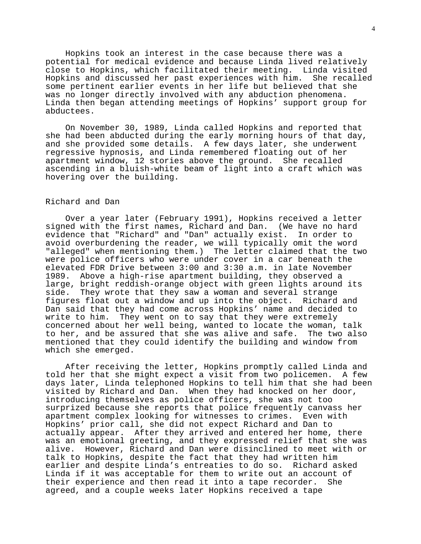Hopkins took an interest in the case because there was a potential for medical evidence and because Linda lived relatively close to Hopkins, which facilitated their meeting. Linda visited Hopkins and discussed her past experiences with him. She recalled some pertinent earlier events in her life but believed that she was no longer directly involved with any abduction phenomena. Linda then began attending meetings of Hopkins' support group for abductees.

 On November 30, 1989, Linda called Hopkins and reported that she had been abducted during the early morning hours of that day, and she provided some details. A few days later, she underwent regressive hypnosis, and Linda remembered floating out of her apartment window, 12 stories above the ground. She recalled ascending in a bluish-white beam of light into a craft which was hovering over the building.

# Richard and Dan

 Over a year later (February 1991), Hopkins received a letter signed with the first names, Richard and Dan. (We have no hard evidence that "Richard" and "Dan" actually exist. In order to avoid overburdening the reader, we will typically omit the word "alleged" when mentioning them.) The letter claimed that the two were police officers who were under cover in a car beneath the elevated FDR Drive between 3:00 and 3:30 a.m. in late November 1989. Above a high-rise apartment building, they observed a large, bright reddish-orange object with green lights around its side. They wrote that they saw a woman and several strange figures float out a window and up into the object. Richard and Dan said that they had come across Hopkins' name and decided to write to him. They went on to say that they were extremely concerned about her well being, wanted to locate the woman, talk to her, and be assured that she was alive and safe. The two also mentioned that they could identify the building and window from which she emerged.

 After receiving the letter, Hopkins promptly called Linda and told her that she might expect a visit from two policemen. A few days later, Linda telephoned Hopkins to tell him that she had been visited by Richard and Dan. When they had knocked on her door, introducing themselves as police officers, she was not too surprized because she reports that police frequently canvass her apartment complex looking for witnesses to crimes. Even with Hopkins' prior call, she did not expect Richard and Dan to actually appear. After they arrived and entered her home, there was an emotional greeting, and they expressed relief that she was alive. However, Richard and Dan were disinclined to meet with or talk to Hopkins, despite the fact that they had written him earlier and despite Linda's entreaties to do so. Richard asked Linda if it was acceptable for them to write out an account of their experience and then read it into a tape recorder. She agreed, and a couple weeks later Hopkins received a tape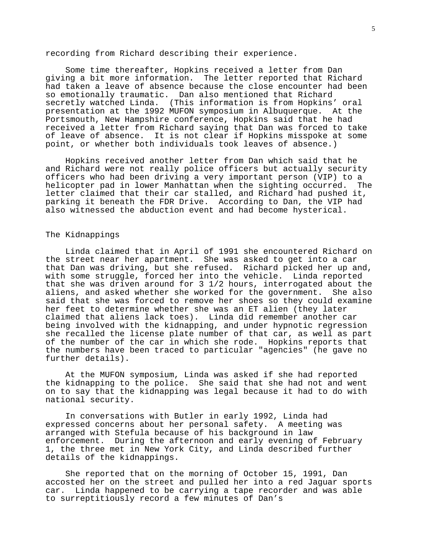recording from Richard describing their experience.

 Some time thereafter, Hopkins received a letter from Dan giving a bit more information. The letter reported that Richard had taken a leave of absence because the close encounter had been so emotionally traumatic. Dan also mentioned that Richard secretly watched Linda. (This information is from Hopkins' oral presentation at the 1992 MUFON symposium in Albuquerque. At the Portsmouth, New Hampshire conference, Hopkins said that he had received a letter from Richard saying that Dan was forced to take of leave of absence. It is not clear if Hopkins misspoke at some point, or whether both individuals took leaves of absence.)

 Hopkins received another letter from Dan which said that he and Richard were not really police officers but actually security officers who had been driving a very important person (VIP) to a helicopter pad in lower Manhattan when the sighting occurred. The letter claimed that their car stalled, and Richard had pushed it, parking it beneath the FDR Drive. According to Dan, the VIP had also witnessed the abduction event and had become hysterical.

## The Kidnappings

 Linda claimed that in April of 1991 she encountered Richard on the street near her apartment. She was asked to get into a car that Dan was driving, but she refused. Richard picked her up and, with some struggle, forced her into the vehicle. Linda reported that she was driven around for 3 1/2 hours, interrogated about the aliens, and asked whether she worked for the government. She also said that she was forced to remove her shoes so they could examine her feet to determine whether she was an ET alien (they later claimed that aliens lack toes). Linda did remember another car being involved with the kidnapping, and under hypnotic regression she recalled the license plate number of that car, as well as part of the number of the car in which she rode. Hopkins reports that the numbers have been traced to particular "agencies" (he gave no further details).

 At the MUFON symposium, Linda was asked if she had reported the kidnapping to the police. She said that she had not and went on to say that the kidnapping was legal because it had to do with national security.

 In conversations with Butler in early 1992, Linda had expressed concerns about her personal safety. A meeting was arranged with Stefula because of his background in law enforcement. During the afternoon and early evening of February 1, the three met in New York City, and Linda described further details of the kidnappings.

 She reported that on the morning of October 15, 1991, Dan accosted her on the street and pulled her into a red Jaguar sports car. Linda happened to be carrying a tape recorder and was able to surreptitiously record a few minutes of Dan's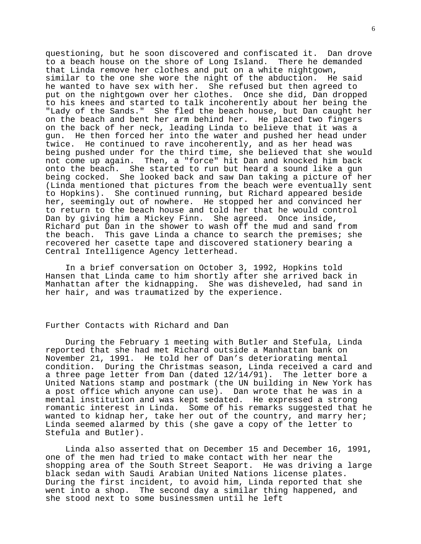questioning, but he soon discovered and confiscated it. Dan drove to a beach house on the shore of Long Island. There he demanded that Linda remove her clothes and put on a white nightgown, similar to the one she wore the night of the abduction. He said he wanted to have sex with her. She refused but then agreed to put on the nightgown over her clothes. Once she did, Dan dropped to his knees and started to talk incoherently about her being the "Lady of the Sands." She fled the beach house, but Dan caught her on the beach and bent her arm behind her. He placed two fingers on the back of her neck, leading Linda to believe that it was a gun. He then forced her into the water and pushed her head under twice. He continued to rave incoherently, and as her head was being pushed under for the third time, she believed that she would not come up again. Then, a "force" hit Dan and knocked him back onto the beach. She started to run but heard a sound like a gun being cocked. She looked back and saw Dan taking a picture of her (Linda mentioned that pictures from the beach were eventually sent to Hopkins). She continued running, but Richard appeared beside her, seemingly out of nowhere. He stopped her and convinced her to return to the beach house and told her that he would control Dan by giving him a Mickey Finn. She agreed. Once inside, Richard put Dan in the shower to wash off the mud and sand from the beach. This gave Linda a chance to search the premises; she recovered her casette tape and discovered stationery bearing a Central Intelligence Agency letterhead.

 In a brief conversation on October 3, 1992, Hopkins told Hansen that Linda came to him shortly after she arrived back in Manhattan after the kidnapping. She was disheveled, had sand in her hair, and was traumatized by the experience.

## Further Contacts with Richard and Dan

 During the February 1 meeting with Butler and Stefula, Linda reported that she had met Richard outside a Manhattan bank on November 21, 1991. He told her of Dan's deteriorating mental condition. During the Christmas season, Linda received a card and a three page letter from Dan (dated 12/14/91). The letter bore a United Nations stamp and postmark (the UN building in New York has a post office which anyone can use). Dan wrote that he was in a mental institution and was kept sedated. He expressed a strong romantic interest in Linda. Some of his remarks suggested that he wanted to kidnap her, take her out of the country, and marry her; Linda seemed alarmed by this (she gave a copy of the letter to Stefula and Butler).

 Linda also asserted that on December 15 and December 16, 1991, one of the men had tried to make contact with her near the shopping area of the South Street Seaport. He was driving a large black sedan with Saudi Arabian United Nations license plates. During the first incident, to avoid him, Linda reported that she went into a shop. The second day a similar thing happened, and she stood next to some businessmen until he left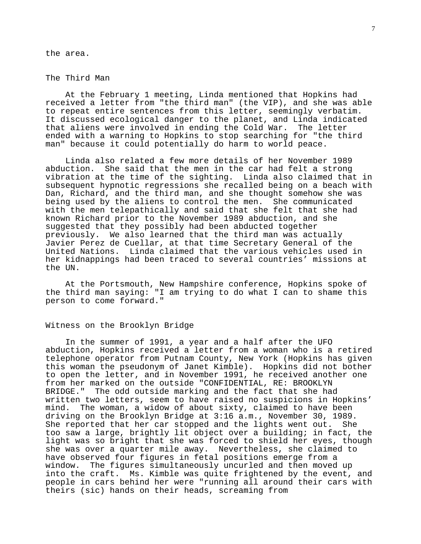the area.

## The Third Man

 At the February 1 meeting, Linda mentioned that Hopkins had received a letter from "the third man" (the VIP), and she was able to repeat entire sentences from this letter, seemingly verbatim. It discussed ecological danger to the planet, and Linda indicated that aliens were involved in ending the Cold War. The letter ended with a warning to Hopkins to stop searching for "the third man" because it could potentially do harm to world peace.

 Linda also related a few more details of her November 1989 abduction. She said that the men in the car had felt a strong vibration at the time of the sighting. Linda also claimed that in subsequent hypnotic regressions she recalled being on a beach with Dan, Richard, and the third man, and she thought somehow she was being used by the aliens to control the men. She communicated with the men telepathically and said that she felt that she had known Richard prior to the November 1989 abduction, and she suggested that they possibly had been abducted together previously. We also learned that the third man was actually Javier Perez de Cuellar, at that time Secretary General of the United Nations. Linda claimed that the various vehicles used in her kidnappings had been traced to several countries' missions at the UN.

 At the Portsmouth, New Hampshire conference, Hopkins spoke of the third man saying: "I am trying to do what I can to shame this person to come forward."

### Witness on the Brooklyn Bridge

 In the summer of 1991, a year and a half after the UFO abduction, Hopkins received a letter from a woman who is a retired telephone operator from Putnam County, New York (Hopkins has given this woman the pseudonym of Janet Kimble). Hopkins did not bother to open the letter, and in November 1991, he received another one from her marked on the outside "CONFIDENTIAL, RE: BROOKLYN BRIDGE." The odd outside marking and the fact that she had written two letters, seem to have raised no suspicions in Hopkins' mind. The woman, a widow of about sixty, claimed to have been driving on the Brooklyn Bridge at 3:16 a.m., November 30, 1989. She reported that her car stopped and the lights went out. She too saw a large, brightly lit object over a building; in fact, the light was so bright that she was forced to shield her eyes, though she was over a quarter mile away. Nevertheless, she claimed to have observed four figures in fetal positions emerge from a window. The figures simultaneously uncurled and then moved up into the craft. Ms. Kimble was quite frightened by the event, and people in cars behind her were "running all around their cars with theirs (sic) hands on their heads, screaming from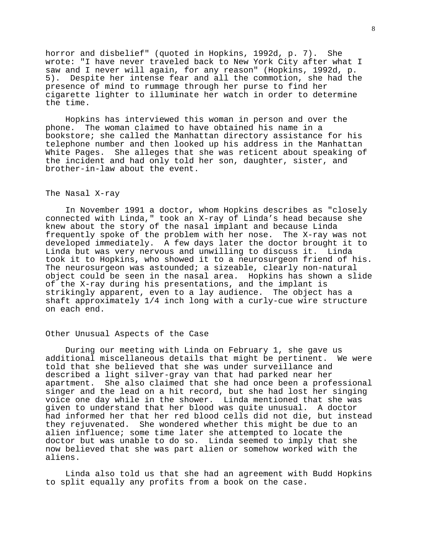horror and disbelief" (quoted in Hopkins, 1992d, p. 7). She wrote: "I have never traveled back to New York City after what I saw and I never will again, for any reason" (Hopkins, 1992d, p. 5). Despite her intense fear and all the commotion, she had the presence of mind to rummage through her purse to find her cigarette lighter to illuminate her watch in order to determine the time.

 Hopkins has interviewed this woman in person and over the phone. The woman claimed to have obtained his name in a bookstore; she called the Manhattan directory assistance for his telephone number and then looked up his address in the Manhattan White Pages. She alleges that she was reticent about speaking of the incident and had only told her son, daughter, sister, and brother-in-law about the event.

### The Nasal X-ray

 In November 1991 a doctor, whom Hopkins describes as "closely connected with Linda," took an X-ray of Linda's head because she knew about the story of the nasal implant and because Linda frequently spoke of the problem with her nose. The X-ray was not developed immediately. A few days later the doctor brought it to Linda but was very nervous and unwilling to discuss it. Linda took it to Hopkins, who showed it to a neurosurgeon friend of his. The neurosurgeon was astounded; a sizeable, clearly non-natural object could be seen in the nasal area. Hopkins has shown a slide of the X-ray during his presentations, and the implant is strikingly apparent, even to a lay audience. The object has a shaft approximately 1/4 inch long with a curly-cue wire structure on each end.

## Other Unusual Aspects of the Case

 During our meeting with Linda on February 1, she gave us additional miscellaneous details that might be pertinent. We were told that she believed that she was under surveillance and described a light silver-gray van that had parked near her apartment. She also claimed that she had once been a professional singer and the lead on a hit record, but she had lost her singing voice one day while in the shower. Linda mentioned that she was given to understand that her blood was quite unusual. A doctor had informed her that her red blood cells did not die, but instead they rejuvenated. She wondered whether this might be due to an alien influence; some time later she attempted to locate the doctor but was unable to do so. Linda seemed to imply that she now believed that she was part alien or somehow worked with the aliens.

 Linda also told us that she had an agreement with Budd Hopkins to split equally any profits from a book on the case.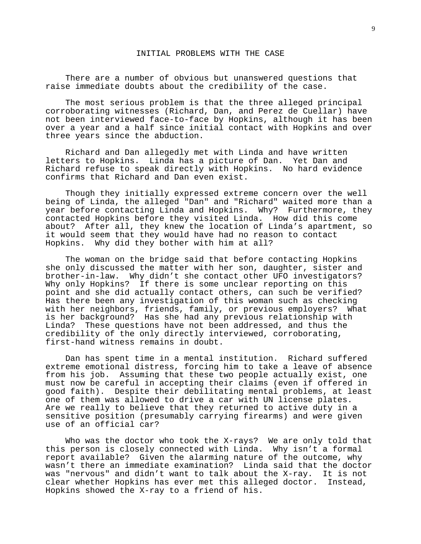### INITIAL PROBLEMS WITH THE CASE

 There are a number of obvious but unanswered questions that raise immediate doubts about the credibility of the case.

 The most serious problem is that the three alleged principal corroborating witnesses (Richard, Dan, and Perez de Cuellar) have not been interviewed face-to-face by Hopkins, although it has been over a year and a half since initial contact with Hopkins and over three years since the abduction.

 Richard and Dan allegedly met with Linda and have written letters to Hopkins. Linda has a picture of Dan. Yet Dan and Richard refuse to speak directly with Hopkins. No hard evidence confirms that Richard and Dan even exist.

 Though they initially expressed extreme concern over the well being of Linda, the alleged "Dan" and "Richard" waited more than a year before contacting Linda and Hopkins. Why? Furthermore, they contacted Hopkins before they visited Linda. How did this come about? After all, they knew the location of Linda's apartment, so it would seem that they would have had no reason to contact Hopkins. Why did they bother with him at all?

 The woman on the bridge said that before contacting Hopkins she only discussed the matter with her son, daughter, sister and brother-in-law. Why didn't she contact other UFO investigators? Why only Hopkins? If there is some unclear reporting on this point and she did actually contact others, can such be verified? Has there been any investigation of this woman such as checking with her neighbors, friends, family, or previous employers? What is her background? Has she had any previous relationship with Linda? These questions have not been addressed, and thus the credibility of the only directly interviewed, corroborating, first-hand witness remains in doubt.

 Dan has spent time in a mental institution. Richard suffered extreme emotional distress, forcing him to take a leave of absence from his job. Assuming that these two people actually exist, one must now be careful in accepting their claims (even if offered in good faith). Despite their debilitating mental problems, at least one of them was allowed to drive a car with UN license plates. Are we really to believe that they returned to active duty in a sensitive position (presumably carrying firearms) and were given use of an official car?

 Who was the doctor who took the X-rays? We are only told that this person is closely connected with Linda. Why isn't a formal report available? Given the alarming nature of the outcome, why wasn't there an immediate examination? Linda said that the doctor was "nervous" and didn't want to talk about the X-ray. It is not clear whether Hopkins has ever met this alleged doctor. Instead, Hopkins showed the X-ray to a friend of his.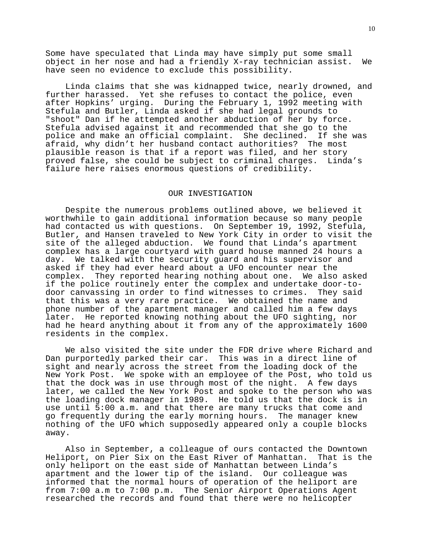Some have speculated that Linda may have simply put some small object in her nose and had a friendly X-ray technician assist. We have seen no evidence to exclude this possibility.

 Linda claims that she was kidnapped twice, nearly drowned, and further harassed. Yet she refuses to contact the police, even after Hopkins' urging. During the February 1, 1992 meeting with Stefula and Butler, Linda asked if she had legal grounds to "shoot" Dan if he attempted another abduction of her by force. Stefula advised against it and recommended that she go to the police and make an official complaint. She declined. If she was afraid, why didn't her husband contact authorities? The most plausible reason is that if a report was filed, and her story proved false, she could be subject to criminal charges. Linda's failure here raises enormous questions of credibility.

#### OUR INVESTIGATION

 Despite the numerous problems outlined above, we believed it worthwhile to gain additional information because so many people had contacted us with questions. On September 19, 1992, Stefula, Butler, and Hansen traveled to New York City in order to visit the site of the alleged abduction. We found that Linda's apartment complex has a large courtyard with guard house manned 24 hours a day. We talked with the security guard and his supervisor and asked if they had ever heard about a UFO encounter near the complex. They reported hearing nothing about one. We also asked if the police routinely enter the complex and undertake door-todoor canvassing in order to find witnesses to crimes. They said that this was a very rare practice. We obtained the name and phone number of the apartment manager and called him a few days later. He reported knowing nothing about the UFO sighting, nor had he heard anything about it from any of the approximately 1600 residents in the complex.

 We also visited the site under the FDR drive where Richard and Dan purportedly parked their car. This was in a direct line of sight and nearly across the street from the loading dock of the New York Post. We spoke with an employee of the Post, who told us that the dock was in use through most of the night. A few days later, we called the New York Post and spoke to the person who was the loading dock manager in 1989. He told us that the dock is in use until 5:00 a.m. and that there are many trucks that come and go frequently during the early morning hours. The manager knew nothing of the UFO which supposedly appeared only a couple blocks away.

 Also in September, a colleague of ours contacted the Downtown Heliport, on Pier Six on the East River of Manhattan. That is the only heliport on the east side of Manhattan between Linda's apartment and the lower tip of the island. Our colleague was informed that the normal hours of operation of the heliport are from 7:00 a.m to 7:00 p.m. The Senior Airport Operations Agent researched the records and found that there were no helicopter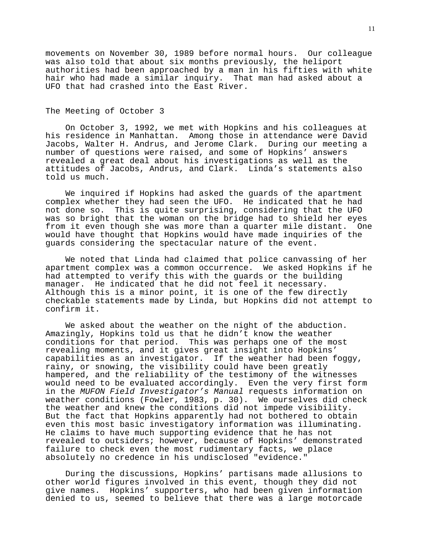movements on November 30, 1989 before normal hours. Our colleague was also told that about six months previously, the heliport authorities had been approached by a man in his fifties with white hair who had made a similar inquiry. That man had asked about a UFO that had crashed into the East River.

## The Meeting of October 3

 On October 3, 1992, we met with Hopkins and his colleagues at his residence in Manhattan. Among those in attendance were David Jacobs, Walter H. Andrus, and Jerome Clark. During our meeting a number of questions were raised, and some of Hopkins' answers revealed a great deal about his investigations as well as the attitudes of Jacobs, Andrus, and Clark. Linda's statements also told us much.

 We inquired if Hopkins had asked the guards of the apartment complex whether they had seen the UFO. He indicated that he had not done so. This is quite surprising, considering that the UFO was so bright that the woman on the bridge had to shield her eyes from it even though she was more than a quarter mile distant. One would have thought that Hopkins would have made inquiries of the guards considering the spectacular nature of the event.

 We noted that Linda had claimed that police canvassing of her apartment complex was a common occurrence. We asked Hopkins if he had attempted to verify this with the guards or the building manager. He indicated that he did not feel it necessary. Although this is a minor point, it is one of the few directly checkable statements made by Linda, but Hopkins did not attempt to confirm it.

 We asked about the weather on the night of the abduction. Amazingly, Hopkins told us that he didn't know the weather conditions for that period. This was perhaps one of the most revealing moments, and it gives great insight into Hopkins' capabilities as an investigator. If the weather had been foggy, rainy, or snowing, the visibility could have been greatly hampered, and the reliability of the testimony of the witnesses would need to be evaluated accordingly. Even the very first form in the MUFON Field Investigator's Manual requests information on weather conditions (Fowler, 1983, p. 30). We ourselves did check the weather and knew the conditions did not impede visibility. But the fact that Hopkins apparently had not bothered to obtain even this most basic investigatory information was illuminating. He claims to have much supporting evidence that he has not revealed to outsiders; however, because of Hopkins' demonstrated failure to check even the most rudimentary facts, we place absolutely no credence in his undisclosed "evidence."

 During the discussions, Hopkins' partisans made allusions to other world figures involved in this event, though they did not give names. Hopkins' supporters, who had been given information denied to us, seemed to believe that there was a large motorcade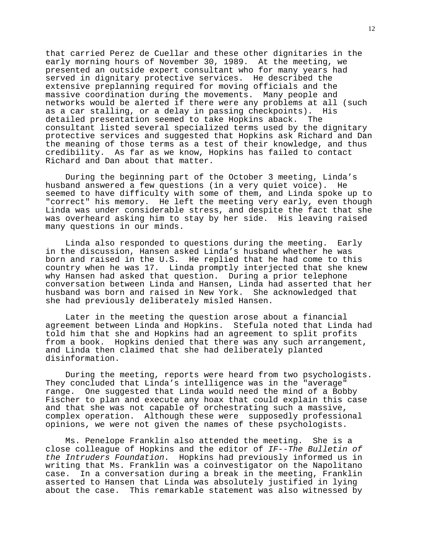that carried Perez de Cuellar and these other dignitaries in the early morning hours of November 30, 1989. At the meeting, we presented an outside expert consultant who for many years had served in dignitary protective services. He described the extensive preplanning required for moving officials and the massive coordination during the movements. Many people and networks would be alerted if there were any problems at all (such as a car stalling, or a delay in passing checkpoints). His detailed presentation seemed to take Hopkins aback. The consultant listed several specialized terms used by the dignitary protective services and suggested that Hopkins ask Richard and Dan the meaning of those terms as a test of their knowledge, and thus credibility. As far as we know, Hopkins has failed to contact Richard and Dan about that matter.

 During the beginning part of the October 3 meeting, Linda's husband answered a few questions (in a very quiet voice). He seemed to have difficulty with some of them, and Linda spoke up to "correct" his memory. He left the meeting very early, even though Linda was under considerable stress, and despite the fact that she was overheard asking him to stay by her side. His leaving raised many questions in our minds.

 Linda also responded to questions during the meeting. Early in the discussion, Hansen asked Linda's husband whether he was born and raised in the U.S. He replied that he had come to this country when he was 17. Linda promptly interjected that she knew why Hansen had asked that question. During a prior telephone conversation between Linda and Hansen, Linda had asserted that her husband was born and raised in New York. She acknowledged that she had previously deliberately misled Hansen.

 Later in the meeting the question arose about a financial agreement between Linda and Hopkins. Stefula noted that Linda had told him that she and Hopkins had an agreement to split profits from a book. Hopkins denied that there was any such arrangement, and Linda then claimed that she had deliberately planted disinformation.

 During the meeting, reports were heard from two psychologists. They concluded that Linda's intelligence was in the "average" range. One suggested that Linda would need the mind of a Bobby Fischer to plan and execute any hoax that could explain this case and that she was not capable of orchestrating such a massive, complex operation. Although these were supposedly professional opinions, we were not given the names of these psychologists.

 Ms. Penelope Franklin also attended the meeting. She is a close colleague of Hopkins and the editor of IF--The Bulletin of the Intruders Foundation. Hopkins had previously informed us in writing that Ms. Franklin was a coinvestigator on the Napolitano case. In a conversation during a break in the meeting, Franklin asserted to Hansen that Linda was absolutely justified in lying about the case. This remarkable statement was also witnessed by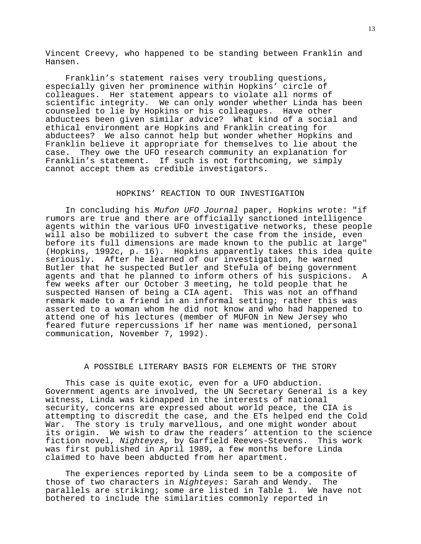Vincent Creevy, who happened to be standing between Franklin and Hansen.

 Franklin's statement raises very troubling questions, especially given her prominence within Hopkins' circle of colleagues. Her statement appears to violate all norms of scientific integrity. We can only wonder whether Linda has been counseled to lie by Hopkins or his colleagues. Have other abductees been given similar advice? What kind of a social and ethical environment are Hopkins and Franklin creating for abductees? We also cannot help but wonder whether Hopkins and Franklin believe it appropriate for themselves to lie about the case. They owe the UFO research community an explanation for Franklin's statement. If such is not forthcoming, we simply cannot accept them as credible investigators.

### HOPKINS' REACTION TO OUR INVESTIGATION

 In concluding his Mufon UFO Journal paper, Hopkins wrote: "if rumors are true and there are officially sanctioned intelligence agents within the various UFO investigative networks, these people will also be mobilized to subvert the case from the inside, even before its full dimensions are made known to the public at large" (Hopkins, 1992c, p. 16). Hopkins apparently takes this idea quite seriously. After he learned of our investigation, he warned Butler that he suspected Butler and Stefula of being government agents and that he planned to inform others of his suspicions. A few weeks after our October 3 meeting, he told people that he suspected Hansen of being a CIA agent. This was not an offhand remark made to a friend in an informal setting; rather this was asserted to a woman whom he did not know and who had happened to attend one of his lectures (member of MUFON in New Jersey who feared future repercussions if her name was mentioned, personal communication, November 7, 1992).

# A POSSIBLE LITERARY BASIS FOR ELEMENTS OF THE STORY

 This case is quite exotic, even for a UFO abduction. Government agents are involved, the UN Secretary General is a key witness, Linda was kidnapped in the interests of national security, concerns are expressed about world peace, the CIA is attempting to discredit the case, and the ETs helped end the Cold War. The story is truly marvellous, and one might wonder about its origin. We wish to draw the readers' attention to the science fiction novel, Nighteyes, by Garfield Reeves-Stevens. This work was first published in April 1989, a few months before Linda claimed to have been abducted from her apartment.

 The experiences reported by Linda seem to be a composite of those of two characters in Nighteyes: Sarah and Wendy. The parallels are striking; some are listed in Table 1. We have not bothered to include the similarities commonly reported in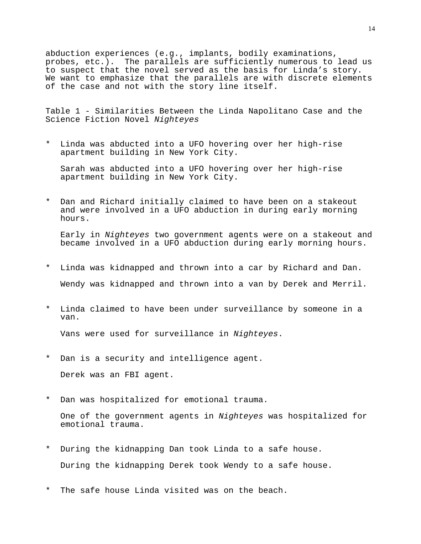abduction experiences (e.g., implants, bodily examinations, probes, etc.). The parallels are sufficiently numerous to lead us to suspect that the novel served as the basis for Linda's story. We want to emphasize that the parallels are with discrete elements of the case and not with the story line itself.

Table 1 - Similarities Between the Linda Napolitano Case and the Science Fiction Novel Nighteyes

\* Linda was abducted into a UFO hovering over her high-rise apartment building in New York City.

 Sarah was abducted into a UFO hovering over her high-rise apartment building in New York City.

Dan and Richard initially claimed to have been on a stakeout and were involved in a UFO abduction in during early morning hours.

 Early in Nighteyes two government agents were on a stakeout and became involved in a UFO abduction during early morning hours.

- \* Linda was kidnapped and thrown into a car by Richard and Dan. Wendy was kidnapped and thrown into a van by Derek and Merril.
- \* Linda claimed to have been under surveillance by someone in a van.

Vans were used for surveillance in Nighteyes.

\* Dan is a security and intelligence agent.

Derek was an FBI agent.

\* Dan was hospitalized for emotional trauma.

 One of the government agents in Nighteyes was hospitalized for emotional trauma.

- \* During the kidnapping Dan took Linda to a safe house. During the kidnapping Derek took Wendy to a safe house.
- \* The safe house Linda visited was on the beach.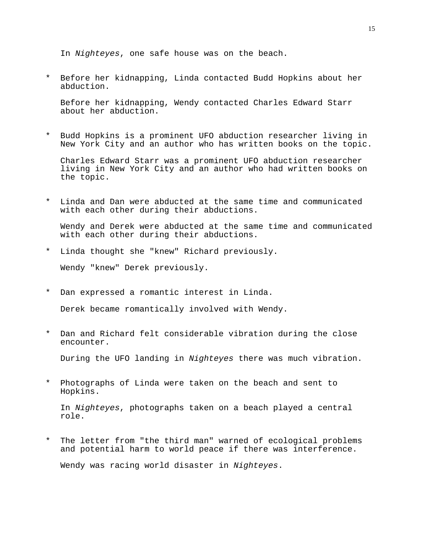In Nighteyes, one safe house was on the beach.

\* Before her kidnapping, Linda contacted Budd Hopkins about her abduction.

 Before her kidnapping, Wendy contacted Charles Edward Starr about her abduction.

\* Budd Hopkins is a prominent UFO abduction researcher living in New York City and an author who has written books on the topic.

 Charles Edward Starr was a prominent UFO abduction researcher living in New York City and an author who had written books on the topic.

\* Linda and Dan were abducted at the same time and communicated with each other during their abductions.

 Wendy and Derek were abducted at the same time and communicated with each other during their abductions.

\* Linda thought she "knew" Richard previously.

Wendy "knew" Derek previously.

\* Dan expressed a romantic interest in Linda.

Derek became romantically involved with Wendy.

\* Dan and Richard felt considerable vibration during the close encounter.

During the UFO landing in Nighteyes there was much vibration.

\* Photographs of Linda were taken on the beach and sent to Hopkins.

 In Nighteyes, photographs taken on a beach played a central role.

\* The letter from "the third man" warned of ecological problems and potential harm to world peace if there was interference.

Wendy was racing world disaster in Nighteyes.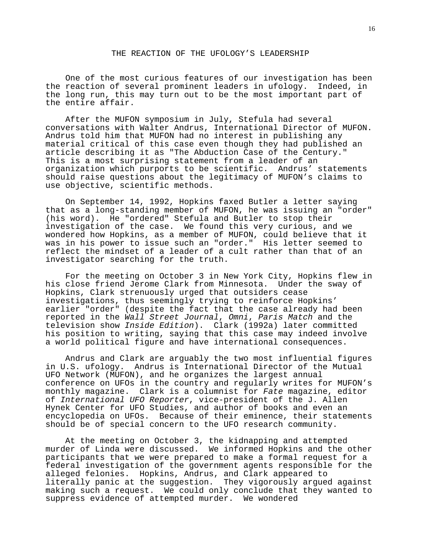### THE REACTION OF THE UFOLOGY'S LEADERSHIP

 One of the most curious features of our investigation has been the reaction of several prominent leaders in ufology. Indeed, in the long run, this may turn out to be the most important part of the entire affair.

 After the MUFON symposium in July, Stefula had several conversations with Walter Andrus, International Director of MUFON. Andrus told him that MUFON had no interest in publishing any material critical of this case even though they had published an article describing it as "The Abduction Case of the Century." This is a most surprising statement from a leader of an organization which purports to be scientific. Andrus' statements should raise questions about the legitimacy of MUFON's claims to use objective, scientific methods.

 On September 14, 1992, Hopkins faxed Butler a letter saying that as a long-standing member of MUFON, he was issuing an "order" (his word). He "ordered" Stefula and Butler to stop their investigation of the case. We found this very curious, and we wondered how Hopkins, as a member of MUFON, could believe that it was in his power to issue such an "order." His letter seemed to reflect the mindset of a leader of a cult rather than that of an investigator searching for the truth.

 For the meeting on October 3 in New York City, Hopkins flew in his close friend Jerome Clark from Minnesota. Under the sway of Hopkins, Clark strenuously urged that outsiders cease investigations, thus seemingly trying to reinforce Hopkins' earlier "order" (despite the fact that the case already had been reported in the Wall Street Journal, Omni, Paris Match and the television show Inside Edition). Clark (1992a) later committed his position to writing, saying that this case may indeed involve a world political figure and have international consequences.

 Andrus and Clark are arguably the two most influential figures in U.S. ufology. Andrus is International Director of the Mutual UFO Network (MUFON), and he organizes the largest annual conference on UFOs in the country and regularly writes for MUFON's monthly magazine. Clark is a columnist for Fate magazine, editor of International UFO Reporter, vice-president of the J. Allen Hynek Center for UFO Studies, and author of books and even an encyclopedia on UFOs. Because of their eminence, their statements should be of special concern to the UFO research community.

 At the meeting on October 3, the kidnapping and attempted murder of Linda were discussed. We informed Hopkins and the other participants that we were prepared to make a formal request for a federal investigation of the government agents responsible for the alleged felonies. Hopkins, Andrus, and Clark appeared to literally panic at the suggestion. They vigorously argued against making such a request. We could only conclude that they wanted to suppress evidence of attempted murder. We wondered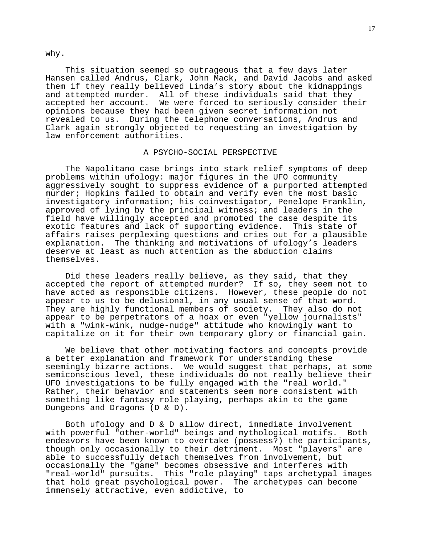why.

 This situation seemed so outrageous that a few days later Hansen called Andrus, Clark, John Mack, and David Jacobs and asked them if they really believed Linda's story about the kidnappings and attempted murder. All of these individuals said that they accepted her account. We were forced to seriously consider their opinions because they had been given secret information not revealed to us. During the telephone conversations, Andrus and Clark again strongly objected to requesting an investigation by law enforcement authorities.

### A PSYCHO-SOCIAL PERSPECTIVE

 The Napolitano case brings into stark relief symptoms of deep problems within ufology: major figures in the UFO community aggressively sought to suppress evidence of a purported attempted murder; Hopkins failed to obtain and verify even the most basic investigatory information; his coinvestigator, Penelope Franklin, approved of lying by the principal witness; and leaders in the field have willingly accepted and promoted the case despite its exotic features and lack of supporting evidence. This state of affairs raises perplexing questions and cries out for a plausible explanation. The thinking and motivations of ufology's leaders deserve at least as much attention as the abduction claims themselves.

 Did these leaders really believe, as they said, that they accepted the report of attempted murder? If so, they seem not to have acted as responsible citizens. However, these people do not appear to us to be delusional, in any usual sense of that word. They are highly functional members of society. They also do not appear to be perpetrators of a hoax or even "yellow journalists" with a "wink-wink, nudge-nudge" attitude who knowingly want to capitalize on it for their own temporary glory or financial gain.

 We believe that other motivating factors and concepts provide a better explanation and framework for understanding these seemingly bizarre actions. We would suggest that perhaps, at some semiconscious level, these individuals do not really believe their UFO investigations to be fully engaged with the "real world." Rather, their behavior and statements seem more consistent with something like fantasy role playing, perhaps akin to the game Dungeons and Dragons (D & D).

 Both ufology and D & D allow direct, immediate involvement with powerful "other-world" beings and mythological motifs. Both endeavors have been known to overtake (possess?) the participants, though only occasionally to their detriment. Most "players" are able to successfully detach themselves from involvement, but occasionally the "game" becomes obsessive and interferes with "real-world" pursuits. This "role playing" taps archetypal images that hold great psychological power. The archetypes can become immensely attractive, even addictive, to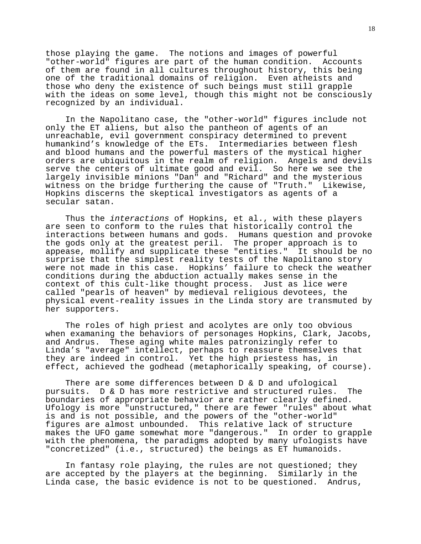those playing the game. The notions and images of powerful "other-world" figures are part of the human condition. Accounts of them are found in all cultures throughout history, this being one of the traditional domains of religion. Even atheists and those who deny the existence of such beings must still grapple with the ideas on some level, though this might not be consciously recognized by an individual.

 In the Napolitano case, the "other-world" figures include not only the ET aliens, but also the pantheon of agents of an unreachable, evil government conspiracy determined to prevent humankind's knowledge of the ETs. Intermediaries between flesh and blood humans and the powerful masters of the mystical higher orders are ubiquitous in the realm of religion. Angels and devils serve the centers of ultimate good and evil. So here we see the largely invisible minions "Dan" and "Richard" and the mysterious witness on the bridge furthering the cause of "Truth." Likewise, Hopkins discerns the skeptical investigators as agents of a secular satan.

Thus the interactions of Hopkins, et al., with these players are seen to conform to the rules that historically control the interactions between humans and gods. Humans question and provoke the gods only at the greatest peril. The proper approach is to appease, mollify and supplicate these "entities." It should be no surprise that the simplest reality tests of the Napolitano story were not made in this case. Hopkins' failure to check the weather conditions during the abduction actually makes sense in the context of this cult-like thought process. Just as lice were called "pearls of heaven" by medieval religious devotees, the physical event-reality issues in the Linda story are transmuted by her supporters.

 The roles of high priest and acolytes are only too obvious when examaning the behaviors of personages Hopkins, Clark, Jacobs, and Andrus. These aging white males patronizingly refer to Linda's "average" intellect, perhaps to reassure themselves that they are indeed in control. Yet the high priestess has, in effect, achieved the godhead (metaphorically speaking, of course).

 There are some differences between D & D and ufological pursuits. D & D has more restrictive and structured rules. The boundaries of appropriate behavior are rather clearly defined. Ufology is more "unstructured," there are fewer "rules" about what is and is not possible, and the powers of the "other-world" figures are almost unbounded. This relative lack of structure makes the UFO game somewhat more "dangerous." In order to grapple with the phenomena, the paradigms adopted by many ufologists have "concretized" (i.e., structured) the beings as ET humanoids.

 In fantasy role playing, the rules are not questioned; they are accepted by the players at the beginning. Similarly in the Linda case, the basic evidence is not to be questioned. Andrus,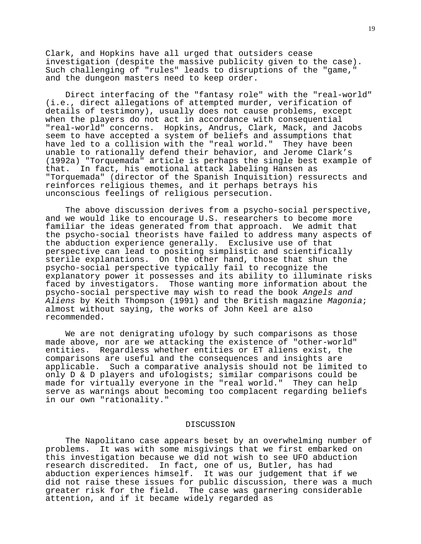Clark, and Hopkins have all urged that outsiders cease investigation (despite the massive publicity given to the case). Such challenging of "rules" leads to disruptions of the "game," and the dungeon masters need to keep order.

 Direct interfacing of the "fantasy role" with the "real-world" (i.e., direct allegations of attempted murder, verification of details of testimony), usually does not cause problems, except when the players do not act in accordance with consequential "real-world" concerns. Hopkins, Andrus, Clark, Mack, and Jacobs seem to have accepted a system of beliefs and assumptions that have led to a collision with the "real world." They have been unable to rationally defend their behavior, and Jerome Clark's (1992a) "Torquemada" article is perhaps the single best example of that. In fact, his emotional attack labeling Hansen as "Torquemada" (director of the Spanish Inquisition) ressurects and reinforces religious themes, and it perhaps betrays his unconscious feelings of religious persecution.

 The above discussion derives from a psycho-social perspective, and we would like to encourage U.S. researchers to become more familiar the ideas generated from that approach. We admit that the psycho-social theorists have failed to address many aspects of the abduction experience generally. Exclusive use of that perspective can lead to positing simplistic and scientifically sterile explanations. On the other hand, those that shun the psycho-social perspective typically fail to recognize the explanatory power it possesses and its ability to illuminate risks faced by investigators. Those wanting more information about the psycho-social perspective may wish to read the book Angels and Aliens by Keith Thompson (1991) and the British magazine Magonia; almost without saying, the works of John Keel are also recommended.

 We are not denigrating ufology by such comparisons as those made above, nor are we attacking the existence of "other-world" entities. Regardless whether entities or ET aliens exist, the comparisons are useful and the consequences and insights are applicable. Such a comparative analysis should not be limited to only D & D players and ufologists; similar comparisons could be made for virtually everyone in the "real world." They can help serve as warnings about becoming too complacent regarding beliefs in our own "rationality."

#### DISCUSSION

 The Napolitano case appears beset by an overwhelming number of problems. It was with some misgivings that we first embarked on this investigation because we did not wish to see UFO abduction research discredited. In fact, one of us, Butler, has had abduction experiences himself. It was our judgement that if we did not raise these issues for public discussion, there was a much greater risk for the field. The case was garnering considerable attention, and if it became widely regarded as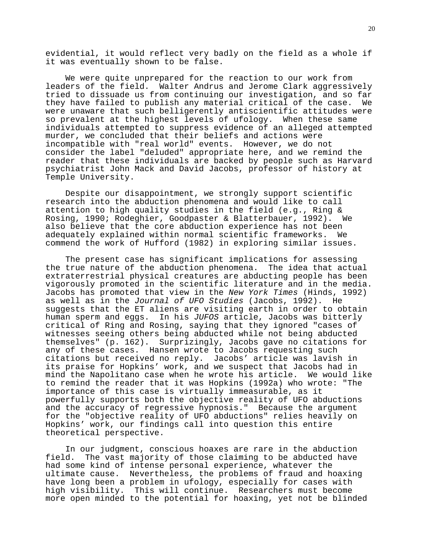evidential, it would reflect very badly on the field as a whole if it was eventually shown to be false.

 We were quite unprepared for the reaction to our work from leaders of the field. Walter Andrus and Jerome Clark aggressively tried to dissuade us from continuing our investigation, and so far they have failed to publish any material critical of the case. We were unaware that such belligerently antiscientific attitudes were so prevalent at the highest levels of ufology. When these same individuals attempted to suppress evidence of an alleged attempted murder, we concluded that their beliefs and actions were incompatible with "real world" events. However, we do not consider the label "deluded" appropriate here, and we remind the reader that these individuals are backed by people such as Harvard psychiatrist John Mack and David Jacobs, professor of history at Temple University.

 Despite our disappointment, we strongly support scientific research into the abduction phenomena and would like to call attention to high quality studies in the field (e.g., Ring & Rosing, 1990; Rodeghier, Goodpaster & Blatterbauer, 1992). We also believe that the core abduction experience has not been adequately explained within normal scientific frameworks. We commend the work of Hufford (1982) in exploring similar issues.

 The present case has significant implications for assessing the true nature of the abduction phenomena. The idea that actual extraterrestrial physical creatures are abducting people has been vigorously promoted in the scientific literature and in the media. Jacobs has promoted that view in the New York Times (Hinds, 1992) as well as in the Journal of UFO Studies (Jacobs, 1992). He suggests that the ET aliens are visiting earth in order to obtain human sperm and eggs. In his JUFOS article, Jacobs was bitterly critical of Ring and Rosing, saying that they ignored "cases of witnesses seeing others being abducted while not being abducted themselves" (p. 162). Surprizingly, Jacobs gave no citations for any of these cases. Hansen wrote to Jacobs requesting such citations but received no reply. Jacobs' article was lavish in its praise for Hopkins' work, and we suspect that Jacobs had in mind the Napolitano case when he wrote his article. We would like to remind the reader that it was Hopkins (1992a) who wrote: "The importance of this case is virtually immeasurable, as it powerfully supports both the objective reality of UFO abductions and the accuracy of regressive hypnosis." Because the argument for the "objective reality of UFO abductions" relies heavily on Hopkins' work, our findings call into question this entire theoretical perspective.

 In our judgment, conscious hoaxes are rare in the abduction field. The vast majority of those claiming to be abducted have had some kind of intense personal experience, whatever the ultimate cause. Nevertheless, the problems of fraud and hoaxing have long been a problem in ufology, especially for cases with high visibility. This will continue. Researchers must become more open minded to the potential for hoaxing, yet not be blinded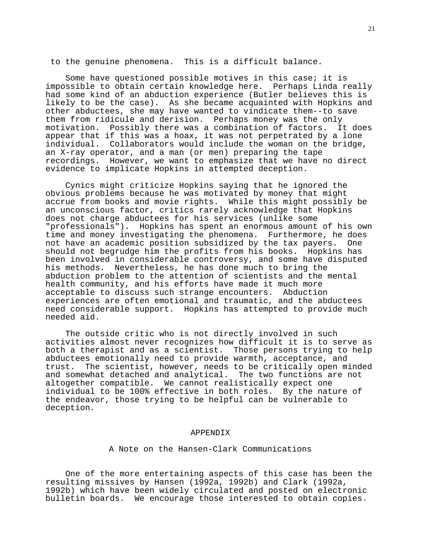to the genuine phenomena. This is a difficult balance.

 Some have questioned possible motives in this case; it is impossible to obtain certain knowledge here. Perhaps Linda really had some kind of an abduction experience (Butler believes this is likely to be the case). As she became acquainted with Hopkins and other abductees, she may have wanted to vindicate them--to save them from ridicule and derision. Perhaps money was the only motivation. Possibly there was a combination of factors. It does appear that if this was a hoax, it was not perpetrated by a lone individual. Collaborators would include the woman on the bridge, an X-ray operator, and a man (or men) preparing the tape recordings. However, we want to emphasize that we have no direct evidence to implicate Hopkins in attempted deception.

 Cynics might criticize Hopkins saying that he ignored the obvious problems because he was motivated by money that might accrue from books and movie rights. While this might possibly be an unconscious factor, critics rarely acknowledge that Hopkins does not charge abductees for his services (unlike some "professionals"). Hopkins has spent an enormous amount of his own time and money investigating the phenomena. Furthermore, he does not have an academic position subsidized by the tax payers. One should not begrudge him the profits from his books. Hopkins has been involved in considerable controversy, and some have disputed his methods. Nevertheless, he has done much to bring the abduction problem to the attention of scientists and the mental health community, and his efforts have made it much more acceptable to discuss such strange encounters. Abduction experiences are often emotional and traumatic, and the abductees need considerable support. Hopkins has attempted to provide much needed aid.

 The outside critic who is not directly involved in such activities almost never recognizes how difficult it is to serve as both a therapist and as a scientist. Those persons trying to help abductees emotionally need to provide warmth, acceptance, and trust. The scientist, however, needs to be critically open minded and somewhat detached and analytical. The two functions are not altogether compatible. We cannot realistically expect one individual to be 100% effective in both roles. By the nature of the endeavor, those trying to be helpful can be vulnerable to deception.

#### APPENDIX

### A Note on the Hansen-Clark Communications

 One of the more entertaining aspects of this case has been the resulting missives by Hansen (1992a, 1992b) and Clark (1992a, 1992b) which have been widely circulated and posted on electronic bulletin boards. We encourage those interested to obtain copies.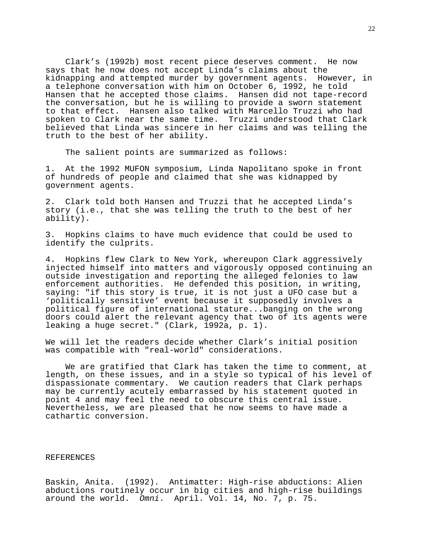Clark's (1992b) most recent piece deserves comment. He now says that he now does not accept Linda's claims about the kidnapping and attempted murder by government agents. However, in a telephone conversation with him on October 6, 1992, he told Hansen that he accepted those claims. Hansen did not tape-record the conversation, but he is willing to provide a sworn statement to that effect. Hansen also talked with Marcello Truzzi who had spoken to Clark near the same time. Truzzi understood that Clark believed that Linda was sincere in her claims and was telling the truth to the best of her ability.

The salient points are summarized as follows:

1. At the 1992 MUFON symposium, Linda Napolitano spoke in front of hundreds of people and claimed that she was kidnapped by government agents.

2. Clark told both Hansen and Truzzi that he accepted Linda's story (i.e., that she was telling the truth to the best of her ability).

3. Hopkins claims to have much evidence that could be used to identify the culprits.

4. Hopkins flew Clark to New York, whereupon Clark aggressively injected himself into matters and vigorously opposed continuing an outside investigation and reporting the alleged felonies to law enforcement authorities. He defended this position, in writing, saying: "if this story is true, it is not just a UFO case but a 'politically sensitive' event because it supposedly involves a political figure of international stature...banging on the wrong doors could alert the relevant agency that two of its agents were leaking a huge secret." (Clark, 1992a, p. 1).

We will let the readers decide whether Clark's initial position was compatible with "real-world" considerations.

 We are gratified that Clark has taken the time to comment, at length, on these issues, and in a style so typical of his level of dispassionate commentary. We caution readers that Clark perhaps may be currently acutely embarrassed by his statement quoted in point 4 and may feel the need to obscure this central issue. Nevertheless, we are pleased that he now seems to have made a cathartic conversion.

### REFERENCES

Baskin, Anita. (1992). Antimatter: High-rise abductions: Alien abductions routinely occur in big cities and high-rise buildings around the world. Omni. April. Vol. 14, No. 7, p. 75.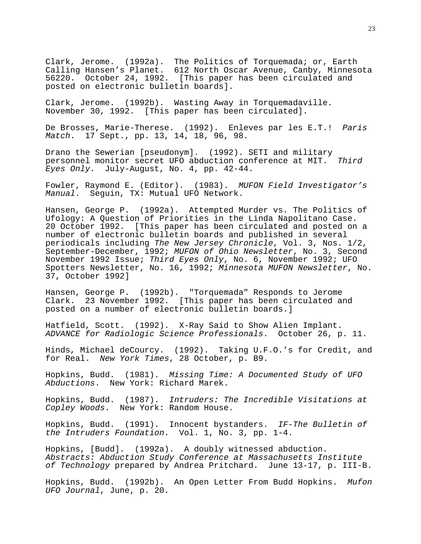Clark, Jerome. (1992a). The Politics of Torquemada; or, Earth Calling Hansen's Planet. 612 North Oscar Avenue, Canby, Minnesota 56220. October 24, 1992. [This paper has been circulated and posted on electronic bulletin boards].

Clark, Jerome. (1992b). Wasting Away in Torquemadaville. November 30, 1992. [This paper has been circulated].

De Brosses, Marie-Therese. (1992). Enleves par les E.T.! Paris Match. 17 Sept., pp. 13, 14, 18, 96, 98.

Drano the Sewerian [pseudonym]. (1992). SETI and military personnel monitor secret UFO abduction conference at MIT. Third Eyes Only. July-August, No. 4, pp. 42-44.

Fowler, Raymond E. (Editor). (1983). MUFON Field Investigator's Manual. Sequin, TX: Mutual UFO Network.

Hansen, George P. (1992a). Attempted Murder vs. The Politics of Ufology: A Question of Priorities in the Linda Napolitano Case. 20 October 1992. [This paper has been circulated and posted on a number of electronic bulletin boards and published in several periodicals including The New Jersey Chronicle, Vol. 3, Nos. 1/2, September-December, 1992; MUFON of Ohio Newsletter, No. 3, Second November 1992 Issue; Third Eyes Only, No. 6, November 1992; UFO Spotters Newsletter, No. 16, 1992; Minnesota MUFON Newsletter, No. 37, October 1992]

Hansen, George P. (1992b). "Torquemada" Responds to Jerome Clark. 23 November 1992. [This paper has been circulated and posted on a number of electronic bulletin boards.]

Hatfield, Scott. (1992). X-Ray Said to Show Alien Implant. ADVANCE for Radiologic Science Professionals. October 26, p. 11.

Hinds, Michael deCourcy. (1992). Taking U.F.O.'s for Credit, and for Real. New York Times, 28 October, p. B9.

Hopkins, Budd. (1981). Missing Time: A Documented Study of UFO Abductions. New York: Richard Marek.

Hopkins, Budd. (1987). Intruders: The Incredible Visitations at Copley Woods. New York: Random House.

Hopkins, Budd. (1991). Innocent bystanders. IF-The Bulletin of the Intruders Foundation. Vol. 1, No. 3, pp. 1-4.

Hopkins, [Budd]. (1992a). A doubly witnessed abduction. Abstracts: Abduction Study Conference at Massachusetts Institute of Technology prepared by Andrea Pritchard. June 13-17, p. III-B.

Hopkins, Budd. (1992b). An Open Letter From Budd Hopkins. Mufon UFO Journal, June, p. 20.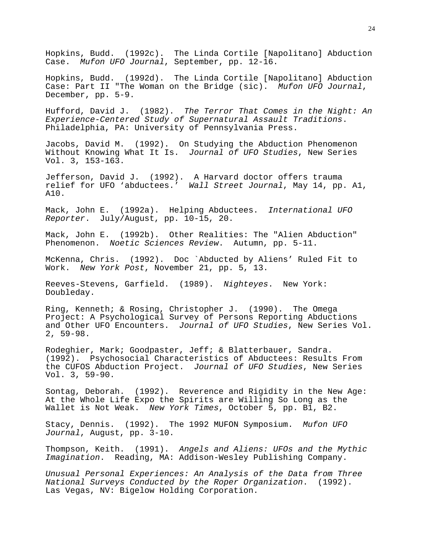Hopkins, Budd. (1992c). The Linda Cortile [Napolitano] Abduction Case. Mufon UFO Journal, September, pp. 12-16.

Hopkins, Budd. (1992d). The Linda Cortile [Napolitano] Abduction Case: Part II "The Woman on the Bridge (sic). Mufon UFO Journal, December, pp. 5-9.

Hufford, David J. (1982). The Terror That Comes in the Night: An Experience-Centered Study of Supernatural Assault Traditions. Philadelphia, PA: University of Pennsylvania Press.

Jacobs, David M. (1992). On Studying the Abduction Phenomenon Without Knowing What It Is. Journal of UFO Studies, New Series Vol. 3, 153-163.

Jefferson, David J. (1992). A Harvard doctor offers trauma relief for UFO 'abductees.' Wall Street Journal, May 14, pp. A1, A10.

Mack, John E. (1992a). Helping Abductees. International UFO Reporter. July/August, pp. 10-15, 20.

Mack, John E. (1992b). Other Realities: The "Alien Abduction" Phenomenon. Noetic Sciences Review. Autumn, pp. 5-11.

McKenna, Chris. (1992). Doc `Abducted by Aliens' Ruled Fit to Work. New York Post, November 21, pp. 5, 13.

Reeves-Stevens, Garfield. (1989). Nighteyes. New York: Doubleday.

Ring, Kenneth; & Rosing, Christopher J. (1990). The Omega Project: A Psychological Survey of Persons Reporting Abductions and Other UFO Encounters. Journal of UFO Studies, New Series Vol. 2, 59-98.

Rodeghier, Mark; Goodpaster, Jeff; & Blatterbauer, Sandra. (1992). Psychosocial Characteristics of Abductees: Results From the CUFOS Abduction Project. Journal of UFO Studies, New Series Vol. 3, 59-90.

Sontag, Deborah. (1992). Reverence and Rigidity in the New Age: At the Whole Life Expo the Spirits are Willing So Long as the Wallet is Not Weak. New York Times, October 5, pp. B1, B2.

Stacy, Dennis. (1992). The 1992 MUFON Symposium. Mufon UFO Journal, August, pp. 3-10.

Thompson, Keith. (1991). Angels and Aliens: UFOs and the Mythic Imagination. Reading, MA: Addison-Wesley Publishing Company.

Unusual Personal Experiences: An Analysis of the Data from Three National Surveys Conducted by the Roper Organization. (1992). Las Vegas, NV: Bigelow Holding Corporation.